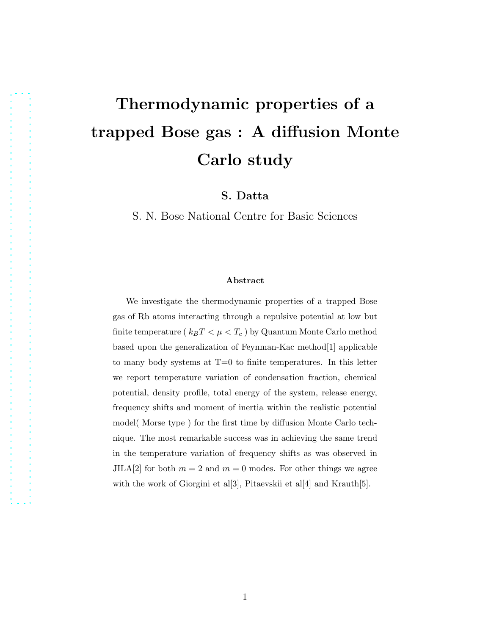# Thermodynamic properties of a trapped Bose gas : A diffusion Monte Carlo study

S. Datta

S. N. Bose National Centre for Basic Sciences

#### Abstract

We investigate the thermodynamic properties of a trapped Bose gas of Rb atoms interacting through a repulsive potential at low but finite temperature ( $k_BT < \mu < T_c$ ) by Quantum Monte Carlo method based upon the generalization of Feynman-Kac method[1] applicable to many body systems at T=0 to finite temperatures. In this letter we report temperature variation of condensation fraction, chemical potential, density profile, total energy of the system, release energy, frequency shifts and moment of inertia within the realistic potential model( Morse type ) for the first time by diffusion Monte Carlo technique. The most remarkable success was in achieving the same trend in the temperature variation of frequency shifts as was observed in JILA[2] for both  $m = 2$  and  $m = 0$  modes. For other things we agree with the work of Giorgini et al[3], Pitaevskii et al[4] and Krauth[5].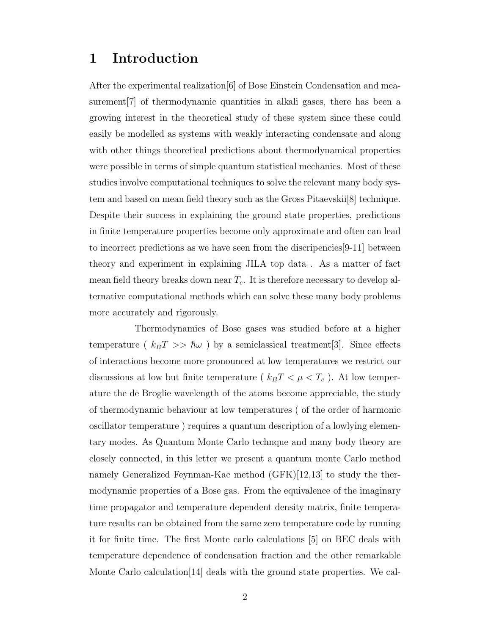# 1 Introduction

After the experimental realization[6] of Bose Einstein Condensation and measurement[7] of thermodynamic quantities in alkali gases, there has been a growing interest in the theoretical study of these system since these could easily be modelled as systems with weakly interacting condensate and along with other things theoretical predictions about thermodynamical properties were possible in terms of simple quantum statistical mechanics. Most of these studies involve computational techniques to solve the relevant many body system and based on mean field theory such as the Gross Pitaevskii[8] technique. Despite their success in explaining the ground state properties, predictions in finite temperature properties become only approximate and often can lead to incorrect predictions as we have seen from the discripencies[9-11] between theory and experiment in explaining JILA top data . As a matter of fact mean field theory breaks down near  $T_c$ . It is therefore necessary to develop alternative computational methods which can solve these many body problems more accurately and rigorously.

Thermodynamics of Bose gases was studied before at a higher temperature ( $k_BT >> \hbar\omega$ ) by a semiclassical treatment[3]. Since effects of interactions become more pronounced at low temperatures we restrict our discussions at low but finite temperature (  $k_BT < \mu < T_c$  ). At low temperature the de Broglie wavelength of the atoms become appreciable, the study of thermodynamic behaviour at low temperatures ( of the order of harmonic oscillator temperature ) requires a quantum description of a lowlying elementary modes. As Quantum Monte Carlo technque and many body theory are closely connected, in this letter we present a quantum monte Carlo method namely Generalized Feynman-Kac method (GFK)[12,13] to study the thermodynamic properties of a Bose gas. From the equivalence of the imaginary time propagator and temperature dependent density matrix, finite temperature results can be obtained from the same zero temperature code by running it for finite time. The first Monte carlo calculations [5] on BEC deals with temperature dependence of condensation fraction and the other remarkable Monte Carlo calculation[14] deals with the ground state properties. We cal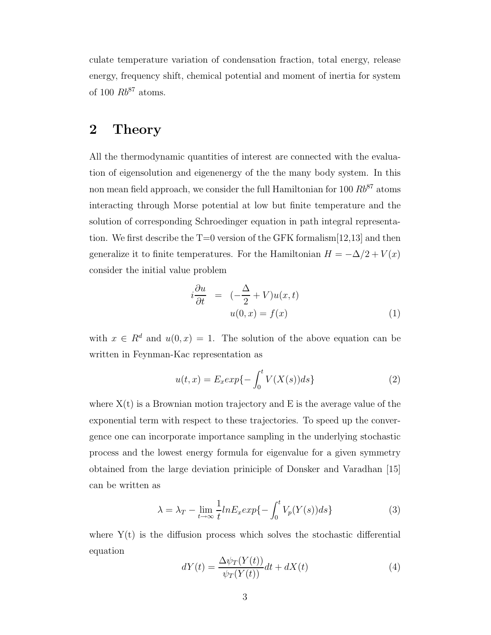culate temperature variation of condensation fraction, total energy, release energy, frequency shift, chemical potential and moment of inertia for system of 100  $Rb^{87}$  atoms.

# 2 Theory

All the thermodynamic quantities of interest are connected with the evaluation of eigensolution and eigenenergy of the the many body system. In this non mean field approach, we consider the full Hamiltonian for 100  $Rb^{87}$  atoms interacting through Morse potential at low but finite temperature and the solution of corresponding Schroedinger equation in path integral representation. We first describe the  $T=0$  version of the GFK formalism  $[12,13]$  and then generalize it to finite temperatures. For the Hamiltonian  $H = -\Delta/2 + V(x)$ consider the initial value problem

$$
i\frac{\partial u}{\partial t} = (-\frac{\Delta}{2} + V)u(x, t)
$$
  
 
$$
u(0, x) = f(x)
$$
 (1)

with  $x \in R^d$  and  $u(0, x) = 1$ . The solution of the above equation can be written in Feynman-Kac representation as

$$
u(t,x) = E_x \exp\{-\int_0^t V(X(s))ds\}
$$
\n(2)

where  $X(t)$  is a Brownian motion trajectory and E is the average value of the exponential term with respect to these trajectories. To speed up the convergence one can incorporate importance sampling in the underlying stochastic process and the lowest energy formula for eigenvalue for a given symmetry obtained from the large deviation priniciple of Donsker and Varadhan [15] can be written as

$$
\lambda = \lambda_T - \lim_{t \to \infty} \frac{1}{t} ln E_x exp\{-\int_0^t V_p(Y(s)) ds\}
$$
 (3)

where  $Y(t)$  is the diffusion process which solves the stochastic differential equation

$$
dY(t) = \frac{\Delta \psi_T(Y(t))}{\psi_T(Y(t))}dt + dX(t)
$$
\n(4)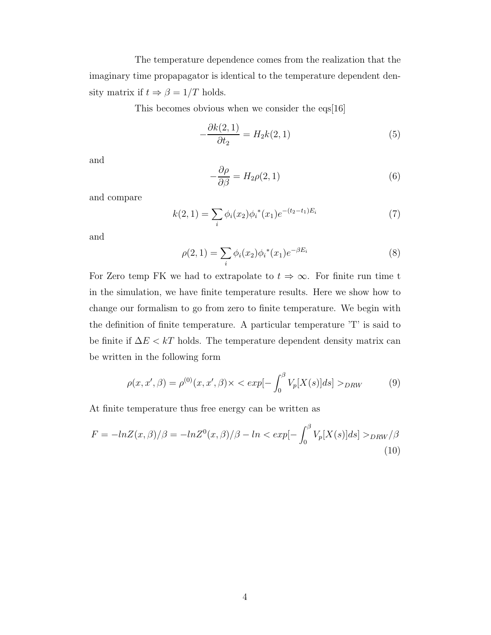The temperature dependence comes from the realization that the imaginary time propapagator is identical to the temperature dependent density matrix if  $t \Rightarrow \beta = 1/T$  holds.

This becomes obvious when we consider the eqs[16]

$$
-\frac{\partial k(2,1)}{\partial t_2} = H_2 k(2,1)
$$
\n(5)

and

$$
-\frac{\partial \rho}{\partial \beta} = H_2 \rho(2, 1) \tag{6}
$$

and compare

$$
k(2,1) = \sum_{i} \phi_i(x_2) \phi_i^*(x_1) e^{-(t_2 - t_1)E_i}
$$
 (7)

and

$$
\rho(2,1) = \sum_{i} \phi_i(x_2) \phi_i^*(x_1) e^{-\beta E_i}
$$
\n(8)

For Zero temp FK we had to extrapolate to  $t \Rightarrow \infty$ . For finite run time t in the simulation, we have finite temperature results. Here we show how to change our formalism to go from zero to finite temperature. We begin with the definition of finite temperature. A particular temperature 'T' is said to be finite if  $\Delta E < kT$  holds. The temperature dependent density matrix can be written in the following form

$$
\rho(x, x', \beta) = \rho^{(0)}(x, x', \beta) \times \langle \exp[-\int_0^\beta V_p[X(s)]ds] \rangle_{DRW}
$$
 (9)

At finite temperature thus free energy can be written as

$$
F = -\ln Z(x,\beta)/\beta = -\ln Z^{0}(x,\beta)/\beta - \ln < exp[-\int_{0}^{\beta} V_{p}[X(s)]ds] >_{DRW}/\beta
$$
\n(10)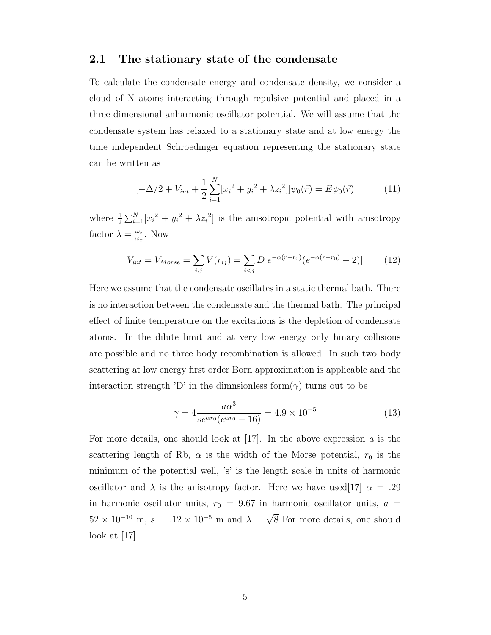#### 2.1 The stationary state of the condensate

To calculate the condensate energy and condensate density, we consider a cloud of N atoms interacting through repulsive potential and placed in a three dimensional anharmonic oscillator potential. We will assume that the condensate system has relaxed to a stationary state and at low energy the time independent Schroedinger equation representing the stationary state can be written as

$$
[-\Delta/2 + V_{int} + \frac{1}{2} \sum_{i=1}^{N} [x_i^2 + y_i^2 + \lambda z_i^2]] \psi_0(\vec{r}) = E \psi_0(\vec{r})
$$
 (11)

where  $\frac{1}{2} \sum_{i=1}^{N} [x_i^2 + y_i^2 + \lambda z_i^2]$  is the anisotropic potential with anisotropy factor  $\lambda = \frac{\omega_z}{\omega_z}$  $\frac{\omega_z}{\omega_x}$ . Now

$$
V_{int} = V_{Morse} = \sum_{i,j} V(r_{ij}) = \sum_{i < j} D[e^{-\alpha(r - r_0)}(e^{-\alpha(r - r_0)} - 2)] \tag{12}
$$

Here we assume that the condensate oscillates in a static thermal bath. There is no interaction between the condensate and the thermal bath. The principal effect of finite temperature on the excitations is the depletion of condensate atoms. In the dilute limit and at very low energy only binary collisions are possible and no three body recombination is allowed. In such two body scattering at low energy first order Born approximation is applicable and the interaction strength 'D' in the dimnsionless form( $\gamma$ ) turns out to be

$$
\gamma = 4 \frac{a\alpha^3}{se^{\alpha r_0}(e^{\alpha r_0} - 16)} = 4.9 \times 10^{-5}
$$
 (13)

For more details, one should look at  $[17]$ . In the above expression a is the scattering length of Rb,  $\alpha$  is the width of the Morse potential,  $r_0$  is the minimum of the potential well, 's' is the length scale in units of harmonic oscillator and  $\lambda$  is the anisotropy factor. Here we have used [17]  $\alpha = .29$ in harmonic oscillator units,  $r_0 = 9.67$  in harmonic oscillator units,  $a =$  $52 \times 10^{-10}$  m,  $s = .12 \times 10^{-5}$  m and  $\lambda = \sqrt{8}$  For more details, one should look at [17].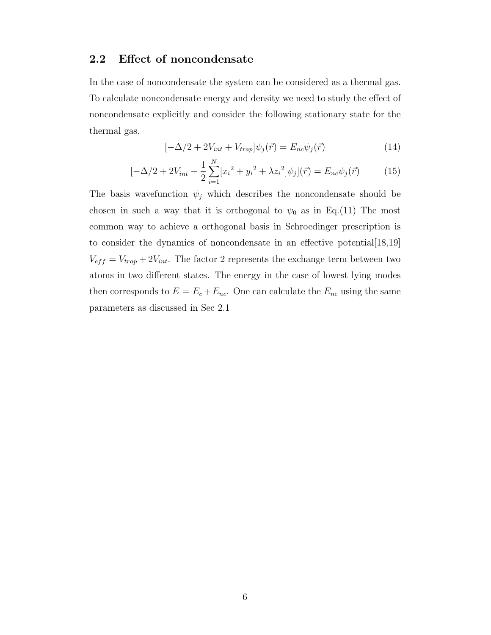#### 2.2 Effect of noncondensate

In the case of noncondensate the system can be considered as a thermal gas. To calculate noncondensate energy and density we need to study the effect of noncondensate explicitly and consider the following stationary state for the thermal gas.

$$
[-\Delta/2 + 2V_{int} + V_{trap}]\psi_j(\vec{r}) = E_{nc}\psi_j(\vec{r})
$$
\n(14)

$$
[-\Delta/2 + 2V_{int} + \frac{1}{2}\sum_{i=1}^{N} [x_i^2 + y_i^2 + \lambda z_i^2] \psi_j](\vec{r}) = E_{nc}\psi_j(\vec{r})
$$
 (15)

The basis wavefunction  $\psi_j$  which describes the noncondensate should be chosen in such a way that it is orthogonal to  $\psi_0$  as in Eq.(11) The most common way to achieve a orthogonal basis in Schroedinger prescription is to consider the dynamics of noncondensate in an effective potential[18,19]  $V_{eff} = V_{trap} + 2V_{int}$ . The factor 2 represents the exchange term between two atoms in two different states. The energy in the case of lowest lying modes then corresponds to  $E = E_c + E_{nc}$ . One can calculate the  $E_{nc}$  using the same parameters as discussed in Sec 2.1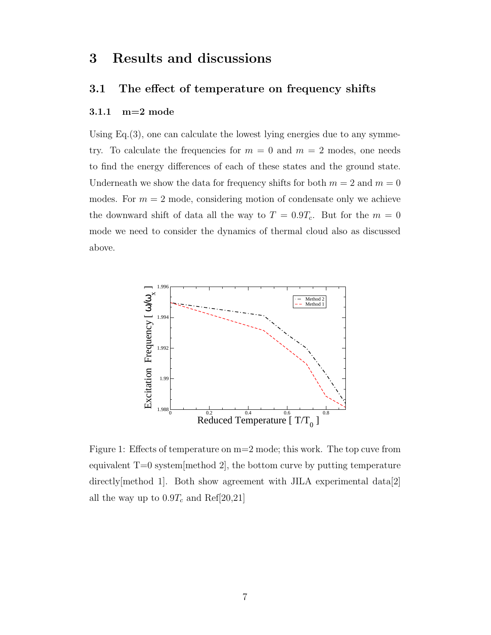# 3 Results and discussions

#### 3.1 The effect of temperature on frequency shifts

#### 3.1.1 m=2 mode

Using  $Eq.(3)$ , one can calculate the lowest lying energies due to any symmetry. To calculate the frequencies for  $m = 0$  and  $m = 2$  modes, one needs to find the energy differences of each of these states and the ground state. Underneath we show the data for frequency shifts for both  $m = 2$  and  $m = 0$ modes. For  $m = 2$  mode, considering motion of condensate only we achieve the downward shift of data all the way to  $T = 0.9T_c$ . But for the  $m = 0$ mode we need to consider the dynamics of thermal cloud also as discussed above.



Figure 1: Effects of temperature on m=2 mode; this work. The top cuve from equivalent  $T=0$  system method 2, the bottom curve by putting temperature directly[method 1]. Both show agreement with JILA experimental data[2] all the way up to  $0.9T_c$  and Ref[20,21]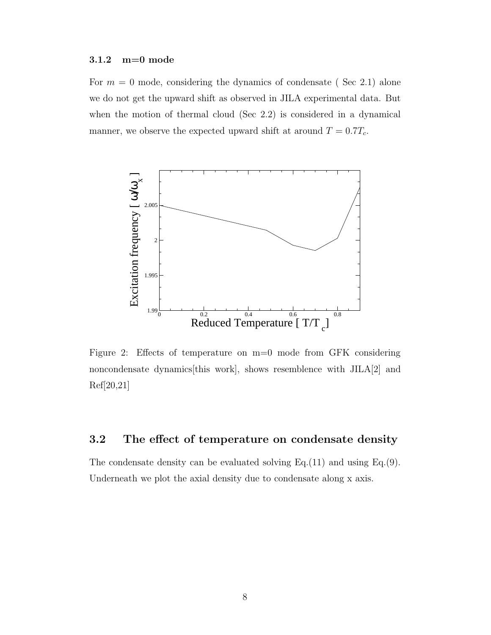#### 3.1.2 m=0 mode

For  $m = 0$  mode, considering the dynamics of condensate (Sec 2.1) alone we do not get the upward shift as observed in JILA experimental data. But when the motion of thermal cloud (Sec 2.2) is considered in a dynamical manner, we observe the expected upward shift at around  $T = 0.7T_c$ .



Figure 2: Effects of temperature on m=0 mode from GFK considering noncondensate dynamics[this work], shows resemblence with JILA[2] and Ref[20,21]

#### 3.2 The effect of temperature on condensate density

The condensate density can be evaluated solving Eq.(11) and using Eq.(9). Underneath we plot the axial density due to condensate along x axis.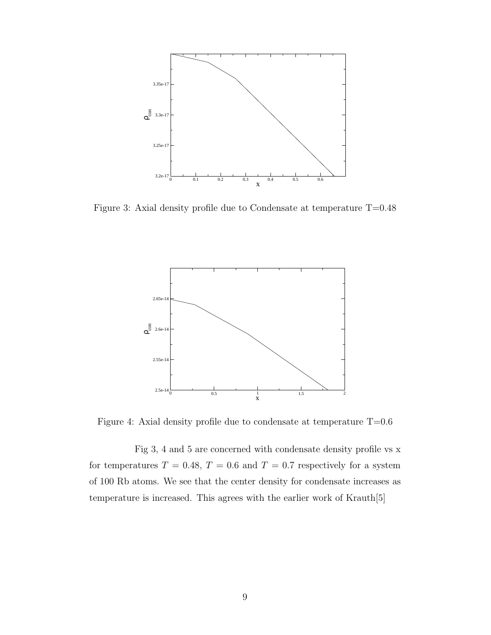

Figure 3: Axial density profile due to Condensate at temperature T=0.48



Figure 4: Axial density profile due to condensate at temperature T=0.6

Fig 3, 4 and 5 are concerned with condensate density profile vs x for temperatures  $T = 0.48, T = 0.6$  and  $T = 0.7$  respectively for a system of 100 Rb atoms. We see that the center density for condensate increases as temperature is increased. This agrees with the earlier work of Krauth[5]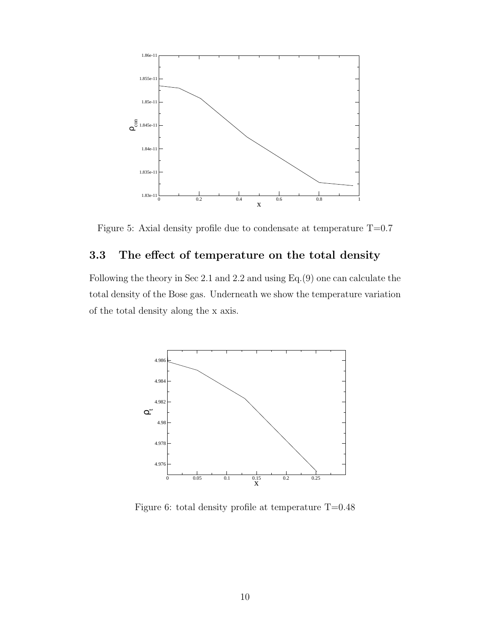

Figure 5: Axial density profile due to condensate at temperature T=0.7

#### 3.3 The effect of temperature on the total density

Following the theory in Sec 2.1 and 2.2 and using Eq.(9) one can calculate the total density of the Bose gas. Underneath we show the temperature variation of the total density along the x axis.



Figure 6: total density profile at temperature  $T=0.48$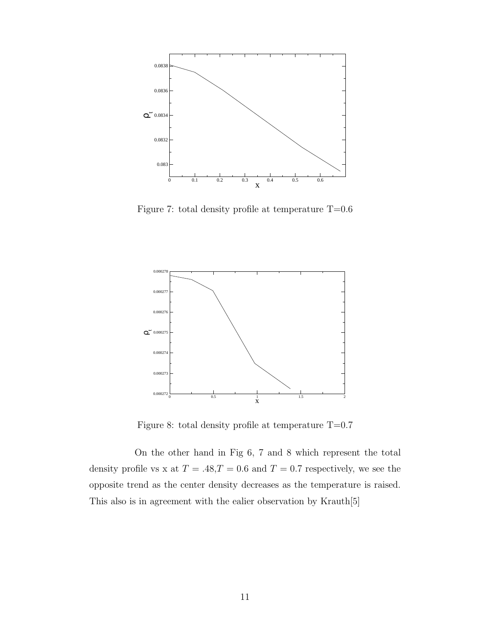

Figure 7: total density profile at temperature  $T=0.6$ 



Figure 8: total density profile at temperature  $T=0.7$ 

On the other hand in Fig 6, 7 and 8 which represent the total density profile vs x at  $T=.48,T=0.6$  and  $T=0.7$  respectively, we see the opposite trend as the center density decreases as the temperature is raised. This also is in agreement with the ealier observation by Krauth[5]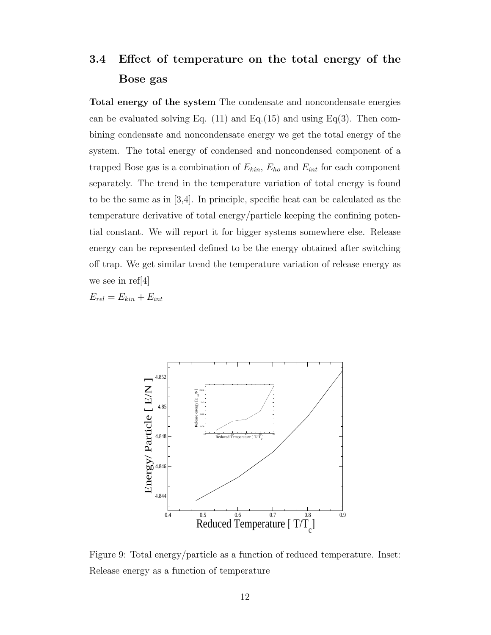# 3.4 Effect of temperature on the total energy of the Bose gas

Total energy of the system The condensate and noncondensate energies can be evaluated solving Eq.  $(11)$  and Eq. $(15)$  and using Eq $(3)$ . Then combining condensate and noncondensate energy we get the total energy of the system. The total energy of condensed and noncondensed component of a trapped Bose gas is a combination of  $E_{kin}$ ,  $E_{ho}$  and  $E_{int}$  for each component separately. The trend in the temperature variation of total energy is found to be the same as in [3,4]. In principle, specific heat can be calculated as the temperature derivative of total energy/particle keeping the confining potential constant. We will report it for bigger systems somewhere else. Release energy can be represented defined to be the energy obtained after switching off trap. We get similar trend the temperature variation of release energy as we see in ref[4]

 $E_{rel} = E_{kin} + E_{int}$ 



Figure 9: Total energy/particle as a function of reduced temperature. Inset: Release energy as a function of temperature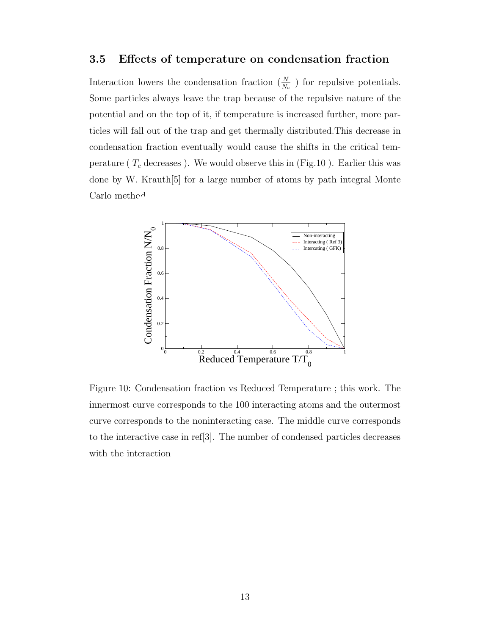#### 3.5 Effects of temperature on condensation fraction

Interaction lowers the condensation fraction  $(\frac{N}{N_c})$  for repulsive potentials. Some particles always leave the trap because of the repulsive nature of the potential and on the top of it, if temperature is increased further, more particles will fall out of the trap and get thermally distributed.This decrease in condensation fraction eventually would cause the shifts in the critical temperature ( $T_c$  decreases). We would observe this in (Fig.10). Earlier this was done by W. Krauth[5] for a large number of atoms by path integral Monte Carlo method



Figure 10: Condensation fraction vs Reduced Temperature ; this work. The innermost curve corresponds to the 100 interacting atoms and the outermost curve corresponds to the noninteracting case. The middle curve corresponds to the interactive case in ref[3]. The number of condensed particles decreases with the interaction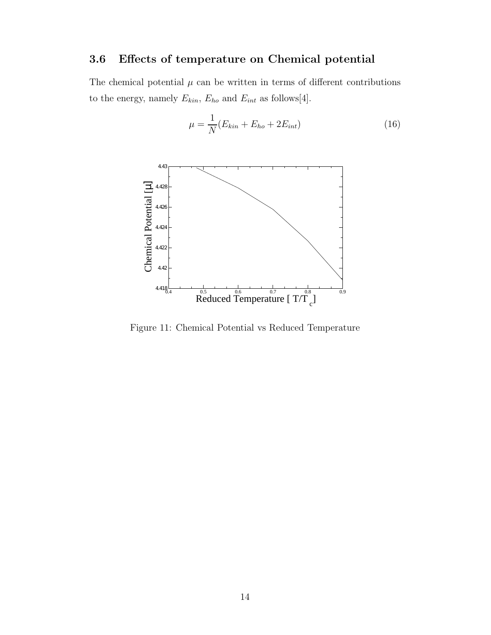# 3.6 Effects of temperature on Chemical potential

The chemical potential  $\mu$  can be written in terms of different contributions to the energy, namely  $E_{kin}$ ,  $E_{ho}$  and  $E_{int}$  as follows[4].



 $\mu =$ 1  $\frac{1}{N}(E_{kin} + E_{ho} + 2E_{int})$  (16)

Figure 11: Chemical Potential vs Reduced Temperature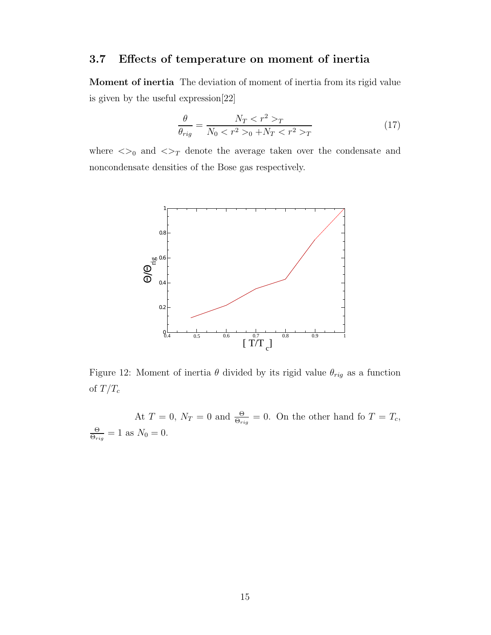### 3.7 Effects of temperature on moment of inertia

Moment of inertia The deviation of moment of inertia from its rigid value is given by the useful expression[22]

$$
\frac{\theta}{\theta_{rig}} = \frac{N_T < r^2 > T}{N_0 < r^2 > 0 + N_T < r^2 > T} \tag{17}
$$

where  $\langle >_0$  and  $\langle >_T$  denote the average taken over the condensate and noncondensate densities of the Bose gas respectively.



Figure 12: Moment of inertia  $\theta$  divided by its rigid value  $\theta_{rig}$  as a function of  $T/T_c$ 

At  $T = 0$ ,  $N_T = 0$  and  $\frac{\Theta}{\Theta_{rig}} = 0$ . On the other hand fo  $T = T_c$ , Θ  $\frac{\Theta}{\Theta_{rig}}=1$  as  $N_0=0$ .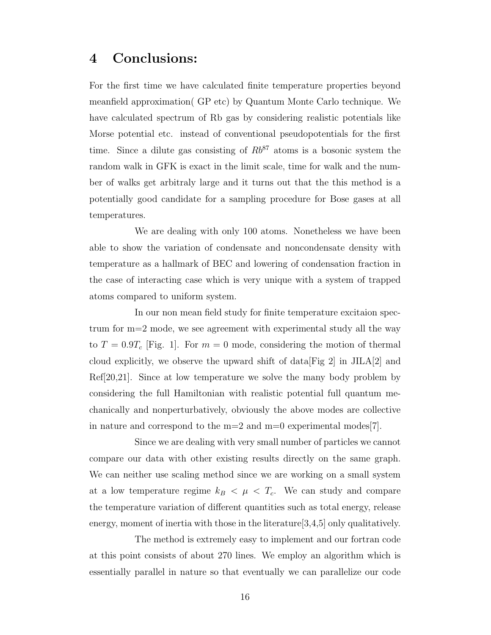# 4 Conclusions:

For the first time we have calculated finite temperature properties beyond meanfield approximation( GP etc) by Quantum Monte Carlo technique. We have calculated spectrum of Rb gas by considering realistic potentials like Morse potential etc. instead of conventional pseudopotentials for the first time. Since a dilute gas consisting of  $Rb^{87}$  atoms is a bosonic system the random walk in GFK is exact in the limit scale, time for walk and the number of walks get arbitraly large and it turns out that the this method is a potentially good candidate for a sampling procedure for Bose gases at all temperatures.

We are dealing with only 100 atoms. Nonetheless we have been able to show the variation of condensate and noncondensate density with temperature as a hallmark of BEC and lowering of condensation fraction in the case of interacting case which is very unique with a system of trapped atoms compared to uniform system.

In our non mean field study for finite temperature excitaion spectrum for m=2 mode, we see agreement with experimental study all the way to  $T = 0.9T_c$  [Fig. 1]. For  $m = 0$  mode, considering the motion of thermal cloud explicitly, we observe the upward shift of data  $[Fig 2]$  in JILA $[2]$  and Ref[20,21]. Since at low temperature we solve the many body problem by considering the full Hamiltonian with realistic potential full quantum mechanically and nonperturbatively, obviously the above modes are collective in nature and correspond to the  $m=2$  and  $m=0$  experimental modes[7].

Since we are dealing with very small number of particles we cannot compare our data with other existing results directly on the same graph. We can neither use scaling method since we are working on a small system at a low temperature regime  $k_B < \mu < T_c$ . We can study and compare the temperature variation of different quantities such as total energy, release energy, moment of inertia with those in the literature[3,4,5] only qualitatively.

The method is extremely easy to implement and our fortran code at this point consists of about 270 lines. We employ an algorithm which is essentially parallel in nature so that eventually we can parallelize our code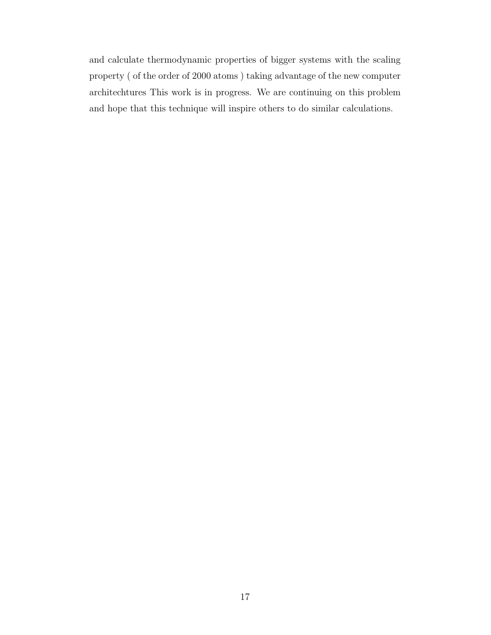and calculate thermodynamic properties of bigger systems with the scaling property ( of the order of 2000 atoms ) taking advantage of the new computer architechtures This work is in progress. We are continuing on this problem and hope that this technique will inspire others to do similar calculations.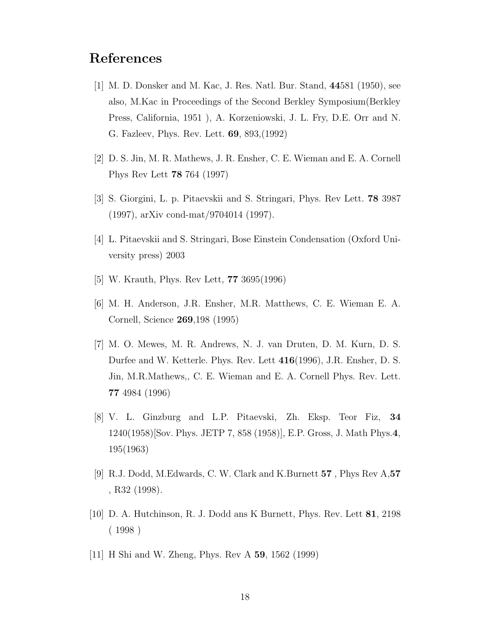# References

- [1] M. D. Donsker and M. Kac, J. Res. Natl. Bur. Stand, 44581 (1950), see also, M.Kac in Proceedings of the Second Berkley Symposium(Berkley Press, California, 1951 ), A. Korzeniowski, J. L. Fry, D.E. Orr and N. G. Fazleev, Phys. Rev. Lett. 69, 893,(1992)
- [2] D. S. Jin, M. R. Mathews, J. R. Ensher, C. E. Wieman and E. A. Cornell Phys Rev Lett 78 764 (1997)
- [3] S. Giorgini, L. p. Pitaevskii and S. Stringari, Phys. Rev Lett. 78 3987 (1997), arXiv cond-mat/9704014 (1997).
- [4] L. Pitaevskii and S. Stringari, Bose Einstein Condensation (Oxford University press) 2003
- [5] W. Krauth, Phys. Rev Lett, 77 3695(1996)
- [6] M. H. Anderson, J.R. Ensher, M.R. Matthews, C. E. Wieman E. A. Cornell, Science 269,198 (1995)
- [7] M. O. Mewes, M. R. Andrews, N. J. van Druten, D. M. Kurn, D. S. Durfee and W. Ketterle. Phys. Rev. Lett 416(1996), J.R. Ensher, D. S. Jin, M.R.Mathews,, C. E. Wieman and E. A. Cornell Phys. Rev. Lett. 77 4984 (1996)
- [8] V. L. Ginzburg and L.P. Pitaevski, Zh. Eksp. Teor Fiz, 34 1240(1958)[Sov. Phys. JETP 7, 858 (1958)], E.P. Gross, J. Math Phys.4, 195(1963)
- [9] R.J. Dodd, M.Edwards, C. W. Clark and K.Burnett 57 , Phys Rev A,57 , R32 (1998).
- [10] D. A. Hutchinson, R. J. Dodd ans K Burnett, Phys. Rev. Lett 81, 2198 ( 1998 )
- [11] H Shi and W. Zheng, Phys. Rev A 59, 1562 (1999)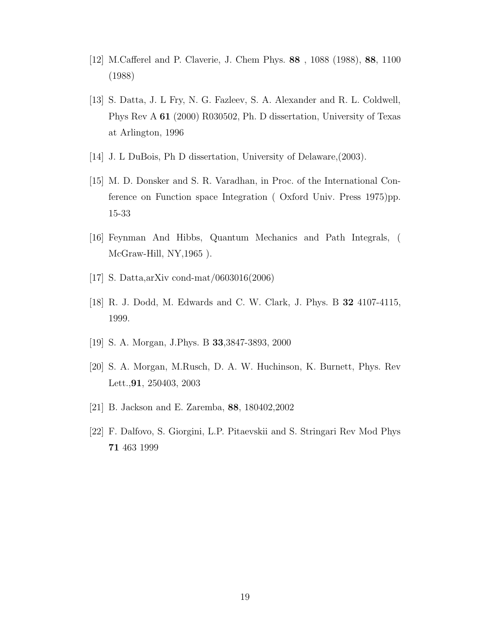- [12] M.Cafferel and P. Claverie, J. Chem Phys. 88 , 1088 (1988), 88, 1100 (1988)
- [13] S. Datta, J. L Fry, N. G. Fazleev, S. A. Alexander and R. L. Coldwell, Phys Rev A 61 (2000) R030502, Ph. D dissertation, University of Texas at Arlington, 1996
- [14] J. L DuBois, Ph D dissertation, University of Delaware,(2003).
- [15] M. D. Donsker and S. R. Varadhan, in Proc. of the International Conference on Function space Integration ( Oxford Univ. Press 1975)pp. 15-33
- [16] Feynman And Hibbs, Quantum Mechanics and Path Integrals, ( McGraw-Hill, NY, 1965).
- [17] S. Datta,arXiv cond-mat/0603016(2006)
- [18] R. J. Dodd, M. Edwards and C. W. Clark, J. Phys. B 32 4107-4115, 1999.
- [19] S. A. Morgan, J.Phys. B 33,3847-3893, 2000
- [20] S. A. Morgan, M.Rusch, D. A. W. Huchinson, K. Burnett, Phys. Rev Lett.,91, 250403, 2003
- [21] B. Jackson and E. Zaremba, 88, 180402,2002
- [22] F. Dalfovo, S. Giorgini, L.P. Pitaevskii and S. Stringari Rev Mod Phys 71 463 1999